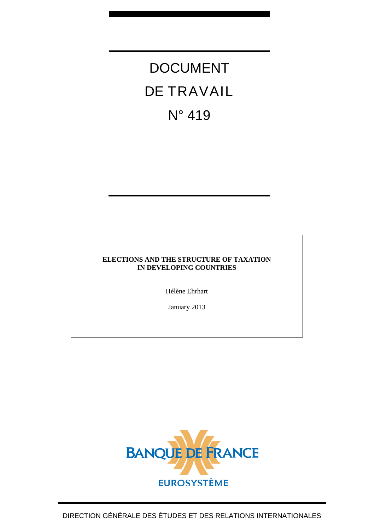# DOCUMENT DE TRAVAIL N° 419

#### **ELECTIONS AND THE STRUCTURE OF TAXATION IN DEVELOPING COUNTRIES**

Hélène Ehrhart

January 2013

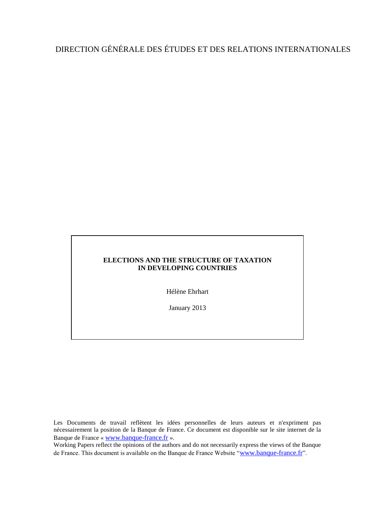## DIRECTION GÉNÉRALE DES ÉTUDES ET DES RELATIONS INTERNATIONALES

#### **ELECTIONS AND THE STRUCTURE OF TAXATION IN DEVELOPING COUNTRIES**

Hélène Ehrhart

January 2013

Les Documents de travail reflètent les idées personnelles de leurs auteurs et n'expriment pas nécessairement la position de la Banque de France. Ce document est disponible sur le site internet de la Banque de France « [www.banque-france.fr](http://www.banque-france.fr/) ».

Working Papers reflect the opinions of the authors and do not necessarily express the views of the Banque de France. This document is available on the Banque de France Website "[www.banque-france.fr](http://www.banque-france.fr/)".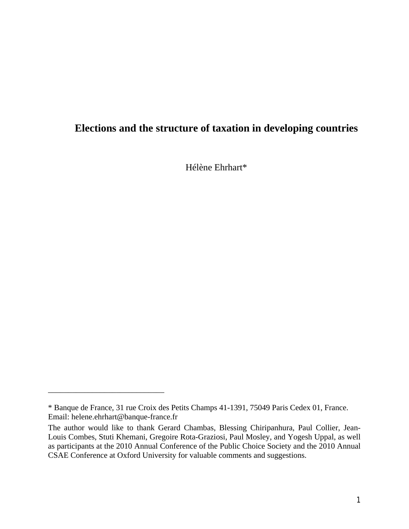### **Elections and the structure of taxation in developing countries**

Hélène Ehrhart\*

\_\_\_\_\_\_\_\_\_\_\_\_\_\_\_\_\_\_\_\_\_\_\_\_\_\_\_\_\_

<sup>\*</sup> Banque de France, 31 rue Croix des Petits Champs 41-1391, 75049 Paris Cedex 01, France. Email: helene.ehrhart@banque-france.fr

The author would like to thank Gerard Chambas, Blessing Chiripanhura, Paul Collier, Jean-Louis Combes, Stuti Khemani, Gregoire Rota-Graziosi, Paul Mosley, and Yogesh Uppal, as well as participants at the 2010 Annual Conference of the Public Choice Society and the 2010 Annual CSAE Conference at Oxford University for valuable comments and suggestions.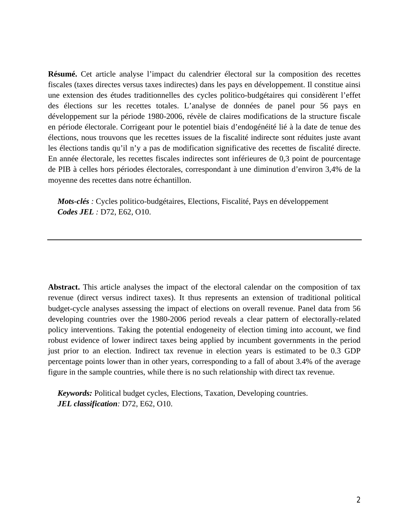**Résumé.** Cet article analyse l'impact du calendrier électoral sur la composition des recettes fiscales (taxes directes versus taxes indirectes) dans les pays en développement. Il constitue ainsi une extension des études traditionnelles des cycles politico-budgétaires qui considèrent l'effet des élections sur les recettes totales. L'analyse de données de panel pour 56 pays en développement sur la période 1980-2006, révèle de claires modifications de la structure fiscale en période électorale. Corrigeant pour le potentiel biais d'endogénéité lié à la date de tenue des élections, nous trouvons que les recettes issues de la fiscalité indirecte sont réduites juste avant les élections tandis qu'il n'y a pas de modification significative des recettes de fiscalité directe. En année électorale, les recettes fiscales indirectes sont inférieures de 0,3 point de pourcentage de PIB à celles hors périodes électorales, correspondant à une diminution d'environ 3,4% de la moyenne des recettes dans notre échantillon.

*Mots-clés :* Cycles politico-budgétaires, Elections, Fiscalité, Pays en développement *Codes JEL :* D72, E62, O10.

**Abstract.** This article analyses the impact of the electoral calendar on the composition of tax revenue (direct versus indirect taxes). It thus represents an extension of traditional political budget-cycle analyses assessing the impact of elections on overall revenue. Panel data from 56 developing countries over the 1980-2006 period reveals a clear pattern of electorally-related policy interventions. Taking the potential endogeneity of election timing into account, we find robust evidence of lower indirect taxes being applied by incumbent governments in the period just prior to an election. Indirect tax revenue in election years is estimated to be 0.3 GDP percentage points lower than in other years, corresponding to a fall of about 3.4% of the average figure in the sample countries, while there is no such relationship with direct tax revenue.

*Keywords:* Political budget cycles, Elections, Taxation, Developing countries. *JEL classification:* D72, E62, O10.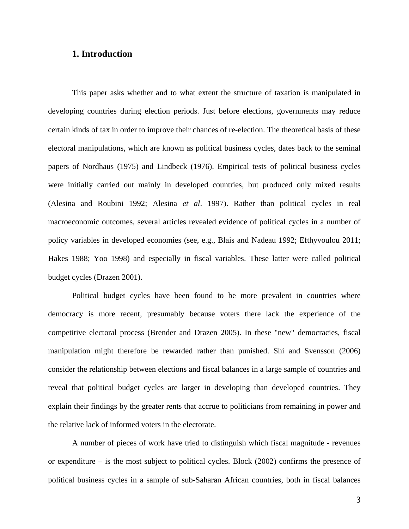#### **1. Introduction**

This paper asks whether and to what extent the structure of taxation is manipulated in developing countries during election periods. Just before elections, governments may reduce certain kinds of tax in order to improve their chances of re-election. The theoretical basis of these electoral manipulations, which are known as political business cycles, dates back to the seminal papers of Nordhaus (1975) and Lindbeck (1976). Empirical tests of political business cycles were initially carried out mainly in developed countries, but produced only mixed results (Alesina and Roubini 1992; Alesina *et al*. 1997). Rather than political cycles in real macroeconomic outcomes, several articles revealed evidence of political cycles in a number of policy variables in developed economies (see, e.g., Blais and Nadeau 1992; Efthyvoulou 2011; Hakes 1988; Yoo 1998) and especially in fiscal variables. These latter were called political budget cycles (Drazen 2001).

Political budget cycles have been found to be more prevalent in countries where democracy is more recent, presumably because voters there lack the experience of the competitive electoral process (Brender and Drazen 2005). In these "new" democracies, fiscal manipulation might therefore be rewarded rather than punished. Shi and Svensson (2006) consider the relationship between elections and fiscal balances in a large sample of countries and reveal that political budget cycles are larger in developing than developed countries. They explain their findings by the greater rents that accrue to politicians from remaining in power and the relative lack of informed voters in the electorate.

A number of pieces of work have tried to distinguish which fiscal magnitude - revenues or expenditure – is the most subject to political cycles. Block (2002) confirms the presence of political business cycles in a sample of sub-Saharan African countries, both in fiscal balances

3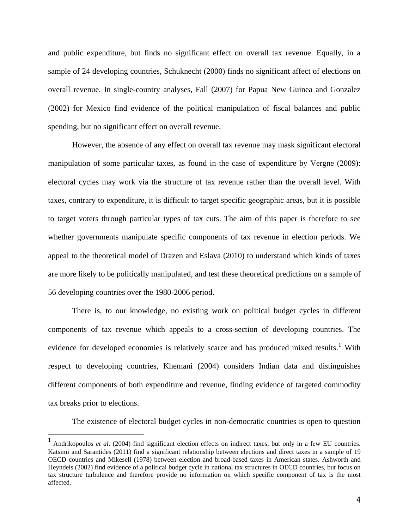<span id="page-5-0"></span>and public expenditure, but finds no significant effect on overall tax revenue. Equally, in a sample of 24 developing countries, Schuknecht (2000) finds no significant affect of elections on overall revenue. In single-country analyses, Fall (2007) for Papua New Guinea and Gonzalez (2002) for Mexico find evidence of the political manipulation of fiscal balances and public spending, but no significant effect on overall revenue.

However, the absence of any effect on overall tax revenue may mask significant electoral manipulation of some particular taxes, as found in the case of expenditure by Vergne (2009): electoral cycles may work via the structure of tax revenue rather than the overall level. With taxes, contrary to expenditure, it is difficult to target specific geographic areas, but it is possible to target voters through particular types of tax cuts. The aim of this paper is therefore to see whether governments manipulate specific components of tax revenue in election periods. We appeal to the theoretical model of Drazen and Eslava (2010) to understand which kinds of taxes are more likely to be politically manipulated, and test these theoretical predictions on a sample of 56 developing countries over the 1980-2006 period.

There is, to our knowledge, no existing work on political budget cycles in different components of tax revenue which appeals to a cross-section of developing countries. The evidence for developed economies is relatively scarce and has produced mixed results.<sup>[1](#page-5-0)</sup> With respect to developing countries, Khemani (2004) considers Indian data and distinguishes different components of both expenditure and revenue, finding evidence of targeted commodity tax breaks prior to elections.

The existence of electoral budget cycles in non-democratic countries is open to question

-

<sup>&</sup>lt;sup>1</sup> Andrikopoulos *et al.* (2004) find significant election effects on indirect taxes, but only in a few EU countries. Katsimi and Sarantides (2011) find a significant relationship between elections and direct taxes in a sample of 19 OECD countries and Mikesell (1978) between election and broad-based taxes in American states. Ashworth and Heyndels (2002) find evidence of a political budget cycle in national tax structures in OECD countries, but focus on tax structure turbulence and therefore provide no information on which specific component of tax is the most affected.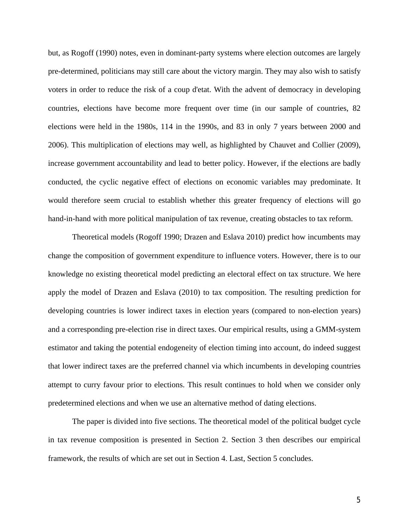but, as Rogoff (1990) notes, even in dominant-party systems where election outcomes are largely pre-determined, politicians may still care about the victory margin. They may also wish to satisfy voters in order to reduce the risk of a coup d'etat. With the advent of democracy in developing countries, elections have become more frequent over time (in our sample of countries, 82 elections were held in the 1980s, 114 in the 1990s, and 83 in only 7 years between 2000 and 2006). This multiplication of elections may well, as highlighted by Chauvet and Collier (2009), increase government accountability and lead to better policy. However, if the elections are badly conducted, the cyclic negative effect of elections on economic variables may predominate. It would therefore seem crucial to establish whether this greater frequency of elections will go hand-in-hand with more political manipulation of tax revenue, creating obstacles to tax reform.

Theoretical models (Rogoff 1990; Drazen and Eslava 2010) predict how incumbents may change the composition of government expenditure to influence voters. However, there is to our knowledge no existing theoretical model predicting an electoral effect on tax structure. We here apply the model of Drazen and Eslava (2010) to tax composition. The resulting prediction for developing countries is lower indirect taxes in election years (compared to non-election years) and a corresponding pre-election rise in direct taxes. Our empirical results, using a GMM-system estimator and taking the potential endogeneity of election timing into account, do indeed suggest that lower indirect taxes are the preferred channel via which incumbents in developing countries attempt to curry favour prior to elections. This result continues to hold when we consider only predetermined elections and when we use an alternative method of dating elections.

The paper is divided into five sections. The theoretical model of the political budget cycle in tax revenue composition is presented in Section 2. Section 3 then describes our empirical framework, the results of which are set out in Section 4. Last, Section 5 concludes.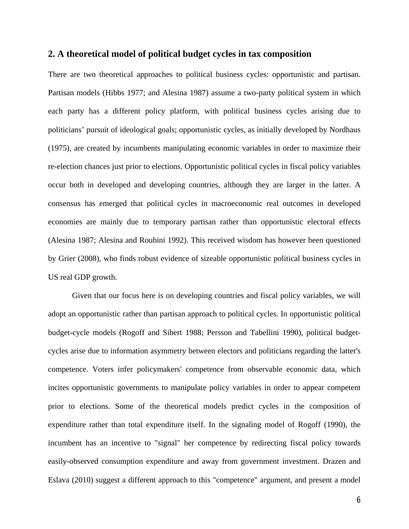#### **2. A theoretical model of political budget cycles in tax composition**

There are two theoretical approaches to political business cycles: opportunistic and partisan. Partisan models (Hibbs 1977; and Alesina 1987) assume a two-party political system in which each party has a different policy platform, with political business cycles arising due to politicians' pursuit of ideological goals; opportunistic cycles, as initially developed by Nordhaus (1975), are created by incumbents manipulating economic variables in order to maximize their re-election chances just prior to elections. Opportunistic political cycles in fiscal policy variables occur both in developed and developing countries, although they are larger in the latter. A consensus has emerged that political cycles in macroeconomic real outcomes in developed economies are mainly due to temporary partisan rather than opportunistic electoral effects (Alesina 1987; Alesina and Roubini 1992). This received wisdom has however been questioned by Grier (2008), who finds robust evidence of sizeable opportunistic political business cycles in US real GDP growth.

Given that our focus here is on developing countries and fiscal policy variables, we will adopt an opportunistic rather than partisan approach to political cycles. In opportunistic political budget-cycle models (Rogoff and Sibert 1988; Persson and Tabellini 1990), political budgetcycles arise due to information asymmetry between electors and politicians regarding the latter's competence. Voters infer policymakers' competence from observable economic data, which incites opportunistic governments to manipulate policy variables in order to appear competent prior to elections. Some of the theoretical models predict cycles in the composition of expenditure rather than total expenditure itself. In the signaling model of Rogoff (1990), the incumbent has an incentive to "signal" her competence by redirecting fiscal policy towards easily-observed consumption expenditure and away from government investment. Drazen and Eslava (2010) suggest a different approach to this "competence" argument, and present a model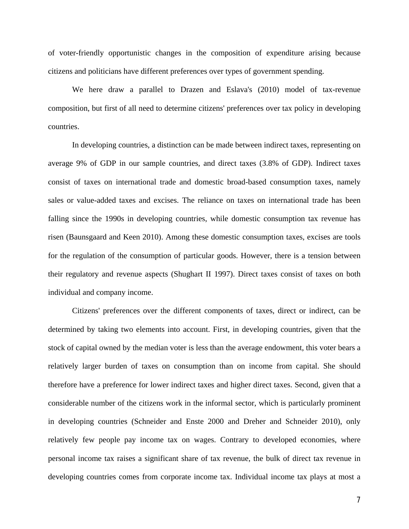of voter-friendly opportunistic changes in the composition of expenditure arising because citizens and politicians have different preferences over types of government spending.

We here draw a parallel to Drazen and Eslava's (2010) model of tax-revenue composition, but first of all need to determine citizens' preferences over tax policy in developing countries.

In developing countries, a distinction can be made between indirect taxes, representing on average 9% of GDP in our sample countries, and direct taxes (3.8% of GDP). Indirect taxes consist of taxes on international trade and domestic broad-based consumption taxes, namely sales or value-added taxes and excises. The reliance on taxes on international trade has been falling since the 1990s in developing countries, while domestic consumption tax revenue has risen (Baunsgaard and Keen 2010). Among these domestic consumption taxes, excises are tools for the regulation of the consumption of particular goods. However, there is a tension between their regulatory and revenue aspects (Shughart II 1997). Direct taxes consist of taxes on both individual and company income.

Citizens' preferences over the different components of taxes, direct or indirect, can be determined by taking two elements into account. First, in developing countries, given that the stock of capital owned by the median voter is less than the average endowment, this voter bears a relatively larger burden of taxes on consumption than on income from capital. She should therefore have a preference for lower indirect taxes and higher direct taxes. Second, given that a considerable number of the citizens work in the informal sector, which is particularly prominent in developing countries (Schneider and Enste 2000 and Dreher and Schneider 2010), only relatively few people pay income tax on wages. Contrary to developed economies, where personal income tax raises a significant share of tax revenue, the bulk of direct tax revenue in developing countries comes from corporate income tax. Individual income tax plays at most a

7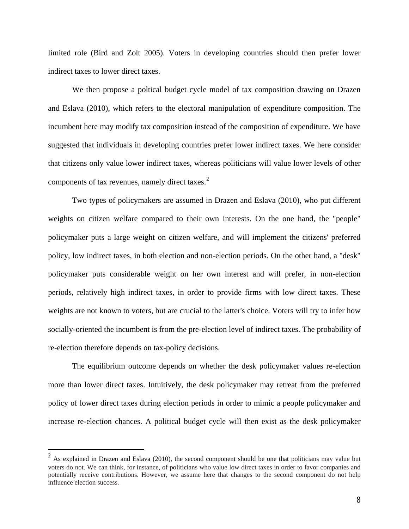<span id="page-9-0"></span>limited role (Bird and Zolt 2005). Voters in developing countries should then prefer lower indirect taxes to lower direct taxes.

We then propose a poltical budget cycle model of tax composition drawing on Drazen and Eslava (2010), which refers to the electoral manipulation of expenditure composition. The incumbent here may modify tax composition instead of the composition of expenditure. We have suggested that individuals in developing countries prefer lower indirect taxes. We here consider that citizens only value lower indirect taxes, whereas politicians will value lower levels of other components of tax revenues, namely direct taxes.<sup>[2](#page-9-0)</sup>

Two types of policymakers are assumed in Drazen and Eslava (2010), who put different weights on citizen welfare compared to their own interests. On the one hand, the "people" policymaker puts a large weight on citizen welfare, and will implement the citizens' preferred policy, low indirect taxes, in both election and non-election periods. On the other hand, a "desk" policymaker puts considerable weight on her own interest and will prefer, in non-election periods, relatively high indirect taxes, in order to provide firms with low direct taxes. These weights are not known to voters, but are crucial to the latter's choice. Voters will try to infer how socially-oriented the incumbent is from the pre-election level of indirect taxes. The probability of re-election therefore depends on tax-policy decisions.

The equilibrium outcome depends on whether the desk policymaker values re-election more than lower direct taxes. Intuitively, the desk policymaker may retreat from the preferred policy of lower direct taxes during election periods in order to mimic a people policymaker and increase re-election chances. A political budget cycle will then exist as the desk policymaker

 $\overline{a}$ 

 $2^{2}$  As explained in Drazen and Eslava (2010), the second component should be one that politicians may value but voters do not. We can think, for instance, of politicians who value low direct taxes in order to favor companies and potentially receive contributions. However, we assume here that changes to the second component do not help influence election success.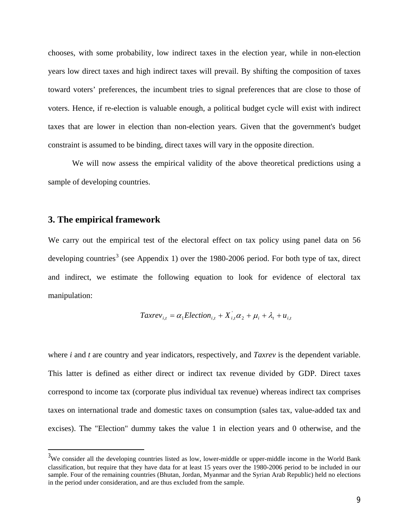<span id="page-10-0"></span>chooses, with some probability, low indirect taxes in the election year, while in non-election years low direct taxes and high indirect taxes will prevail. By shifting the composition of taxes toward voters' preferences, the incumbent tries to signal preferences that are close to those of voters. Hence, if re-election is valuable enough, a political budget cycle will exist with indirect taxes that are lower in election than non-election years. Given that the government's budget constraint is assumed to be binding, direct taxes will vary in the opposite direction.

We will now assess the empirical validity of the above theoretical predictions using a sample of developing countries.

#### **3. The empirical framework**

-

We carry out the empirical test of the electoral effect on tax policy using panel data on 56 developing countries<sup>[3](#page-10-0)</sup> (see Appendix 1) over the 1980-2006 period. For both type of tax, direct and indirect, we estimate the following equation to look for evidence of electoral tax manipulation:

$$
Taxrev_{i,t} = \alpha_1 Electronic
$$

where *i* and *t* are country and year indicators, respectively, and *Taxrev* is the dependent variable. This latter is defined as either direct or indirect tax revenue divided by GDP. Direct taxes correspond to income tax (corporate plus individual tax revenue) whereas indirect tax comprises taxes on international trade and domestic taxes on consumption (sales tax, value-added tax and excises). The "Election" dummy takes the value 1 in election years and 0 otherwise, and the

 $3W$ e consider all the developing countries listed as low, lower-middle or upper-middle income in the World Bank classification, but require that they have data for at least 15 years over the 1980-2006 period to be included in our sample. Four of the remaining countries (Bhutan, Jordan, Myanmar and the Syrian Arab Republic) held no elections in the period under consideration, and are thus excluded from the sample.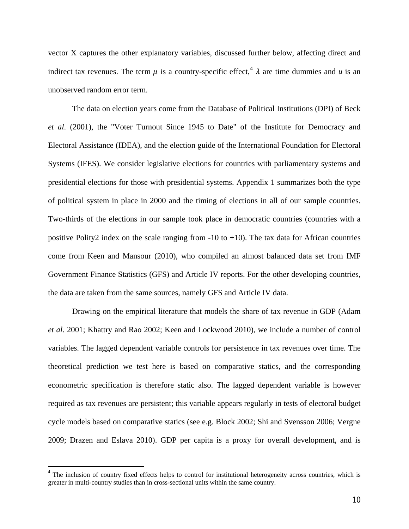<span id="page-11-0"></span>vector X captures the other explanatory variables, discussed further below, affecting direct and indirect tax revenues. The term  $\mu$  is a country-specific effect,  $\lambda$  are time dummies and  $\mu$  is an unobserved random error term.

The data on election years come from the Database of Political Institutions (DPI) of Beck *et al*. (2001), the "Voter Turnout Since 1945 to Date" of the Institute for Democracy and Electoral Assistance (IDEA), and the election guide of the International Foundation for Electoral Systems (IFES). We consider legislative elections for countries with parliamentary systems and presidential elections for those with presidential systems. Appendix 1 summarizes both the type of political system in place in 2000 and the timing of elections in all of our sample countries. Two-thirds of the elections in our sample took place in democratic countries (countries with a positive Polity2 index on the scale ranging from  $-10$  to  $+10$ ). The tax data for African countries come from Keen and Mansour (2010), who compiled an almost balanced data set from IMF Government Finance Statistics (GFS) and Article IV reports. For the other developing countries, the data are taken from the same sources, namely GFS and Article IV data.

Drawing on the empirical literature that models the share of tax revenue in GDP (Adam *et al*. 2001; Khattry and Rao 2002; Keen and Lockwood 2010), we include a number of control variables. The lagged dependent variable controls for persistence in tax revenues over time. The theoretical prediction we test here is based on comparative statics, and the corresponding econometric specification is therefore static also. The lagged dependent variable is however required as tax revenues are persistent; this variable appears regularly in tests of electoral budget cycle models based on comparative statics (see e.g. Block 2002; Shi and Svensson 2006; Vergne 2009; Drazen and Eslava 2010). GDP per capita is a proxy for overall development, and is

 $\overline{a}$ 

<sup>&</sup>lt;sup>4</sup> The inclusion of country fixed effects helps to control for institutional heterogeneity across countries, which is greater in multi-country studies than in cross-sectional units within the same country.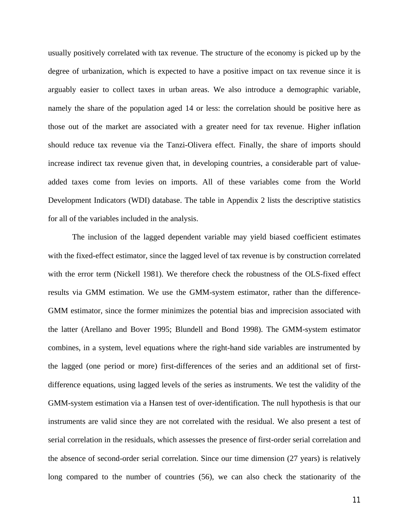usually positively correlated with tax revenue. The structure of the economy is picked up by the degree of urbanization, which is expected to have a positive impact on tax revenue since it is arguably easier to collect taxes in urban areas. We also introduce a demographic variable, namely the share of the population aged 14 or less: the correlation should be positive here as those out of the market are associated with a greater need for tax revenue. Higher inflation should reduce tax revenue via the Tanzi-Olivera effect. Finally, the share of imports should increase indirect tax revenue given that, in developing countries, a considerable part of valueadded taxes come from levies on imports. All of these variables come from the World Development Indicators (WDI) database. The table in Appendix 2 lists the descriptive statistics for all of the variables included in the analysis.

The inclusion of the lagged dependent variable may yield biased coefficient estimates with the fixed-effect estimator, since the lagged level of tax revenue is by construction correlated with the error term (Nickell 1981). We therefore check the robustness of the OLS-fixed effect results via GMM estimation. We use the GMM-system estimator, rather than the difference-GMM estimator, since the former minimizes the potential bias and imprecision associated with the latter (Arellano and Bover 1995; Blundell and Bond 1998). The GMM-system estimator combines, in a system, level equations where the right-hand side variables are instrumented by the lagged (one period or more) first-differences of the series and an additional set of firstdifference equations, using lagged levels of the series as instruments. We test the validity of the GMM-system estimation via a Hansen test of over-identification. The null hypothesis is that our instruments are valid since they are not correlated with the residual. We also present a test of serial correlation in the residuals, which assesses the presence of first-order serial correlation and the absence of second-order serial correlation. Since our time dimension (27 years) is relatively long compared to the number of countries (56), we can also check the stationarity of the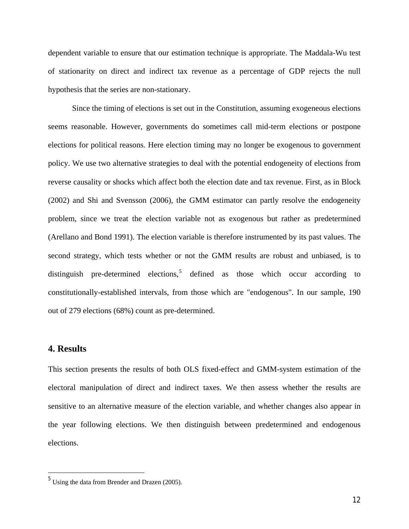<span id="page-13-0"></span>dependent variable to ensure that our estimation technique is appropriate. The Maddala-Wu test of stationarity on direct and indirect tax revenue as a percentage of GDP rejects the null hypothesis that the series are non-stationary.

Since the timing of elections is set out in the Constitution, assuming exogeneous elections seems reasonable. However, governments do sometimes call mid-term elections or postpone elections for political reasons. Here election timing may no longer be exogenous to government policy. We use two alternative strategies to deal with the potential endogeneity of elections from reverse causality or shocks which affect both the election date and tax revenue. First, as in Block (2002) and Shi and Svensson (2006), the GMM estimator can partly resolve the endogeneity problem, since we treat the election variable not as exogenous but rather as predetermined (Arellano and Bond 1991). The election variable is therefore instrumented by its past values. The second strategy, which tests whether or not the GMM results are robust and unbiased, is to distinguish pre-determined elections, defined as those which occur according to constitutionally-established intervals, from those which are "endogenous". In our sample, 190 out of 279 elections (68%) count as pre-determined.

#### **4. Results**

 $\overline{a}$ 

This section presents the results of both OLS fixed-effect and GMM-system estimation of the electoral manipulation of direct and indirect taxes. We then assess whether the results are sensitive to an alternative measure of the election variable, and whether changes also appear in the year following elections. We then distinguish between predetermined and endogenous elections.

 $<sup>5</sup>$  Using the data from Brender and Drazen (2005).</sup>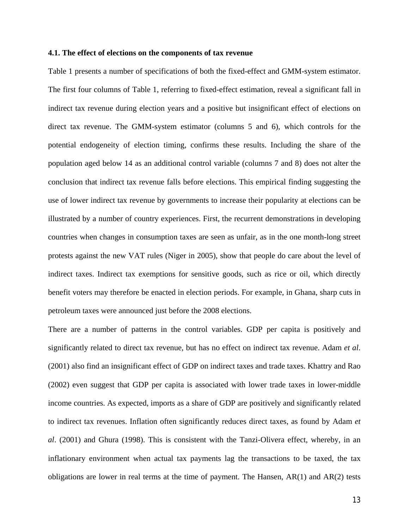#### **4.1. The effect of elections on the components of tax revenue**

Table 1 presents a number of specifications of both the fixed-effect and GMM-system estimator. The first four columns of Table 1, referring to fixed-effect estimation, reveal a significant fall in indirect tax revenue during election years and a positive but insignificant effect of elections on direct tax revenue. The GMM-system estimator (columns 5 and 6), which controls for the potential endogeneity of election timing, confirms these results. Including the share of the population aged below 14 as an additional control variable (columns 7 and 8) does not alter the conclusion that indirect tax revenue falls before elections. This empirical finding suggesting the use of lower indirect tax revenue by governments to increase their popularity at elections can be illustrated by a number of country experiences. First, the recurrent demonstrations in developing countries when changes in consumption taxes are seen as unfair, as in the one month-long street protests against the new VAT rules (Niger in 2005), show that people do care about the level of indirect taxes. Indirect tax exemptions for sensitive goods, such as rice or oil, which directly benefit voters may therefore be enacted in election periods. For example, in Ghana, sharp cuts in petroleum taxes were announced just before the 2008 elections.

There are a number of patterns in the control variables. GDP per capita is positively and significantly related to direct tax revenue, but has no effect on indirect tax revenue. Adam *et al*. (2001) also find an insignificant effect of GDP on indirect taxes and trade taxes. Khattry and Rao (2002) even suggest that GDP per capita is associated with lower trade taxes in lower-middle income countries. As expected, imports as a share of GDP are positively and significantly related to indirect tax revenues. Inflation often significantly reduces direct taxes, as found by Adam *et al*. (2001) and Ghura (1998). This is consistent with the Tanzi-Olivera effect, whereby, in an inflationary environment when actual tax payments lag the transactions to be taxed, the tax obligations are lower in real terms at the time of payment. The Hansen, AR(1) and AR(2) tests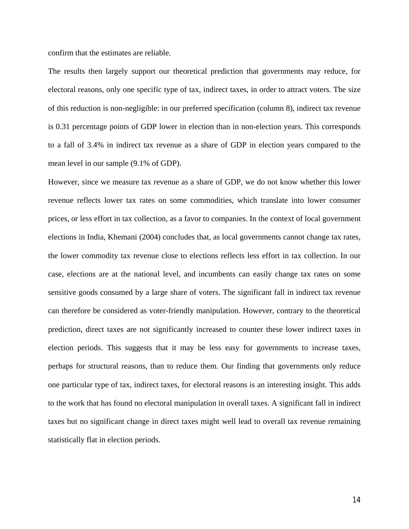confirm that the estimates are reliable.

The results then largely support our theoretical prediction that governments may reduce, for electoral reasons, only one specific type of tax, indirect taxes, in order to attract voters. The size of this reduction is non-negligible: in our preferred specification (column 8), indirect tax revenue is 0.31 percentage points of GDP lower in election than in non-election years. This corresponds to a fall of 3.4% in indirect tax revenue as a share of GDP in election years compared to the mean level in our sample (9.1% of GDP).

However, since we measure tax revenue as a share of GDP, we do not know whether this lower revenue reflects lower tax rates on some commodities, which translate into lower consumer prices, or less effort in tax collection, as a favor to companies. In the context of local government elections in India, Khemani (2004) concludes that, as local governments cannot change tax rates, the lower commodity tax revenue close to elections reflects less effort in tax collection. In our case, elections are at the national level, and incumbents can easily change tax rates on some sensitive goods consumed by a large share of voters. The significant fall in indirect tax revenue can therefore be considered as voter-friendly manipulation. However, contrary to the theoretical prediction, direct taxes are not significantly increased to counter these lower indirect taxes in election periods. This suggests that it may be less easy for governments to increase taxes, perhaps for structural reasons, than to reduce them. Our finding that governments only reduce one particular type of tax, indirect taxes, for electoral reasons is an interesting insight. This adds to the work that has found no electoral manipulation in overall taxes. A significant fall in indirect taxes but no significant change in direct taxes might well lead to overall tax revenue remaining statistically flat in election periods.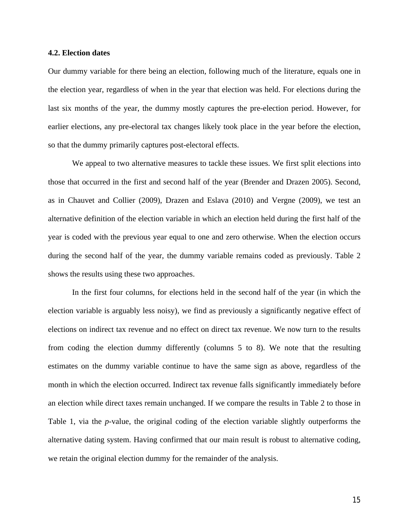#### **4.2. Election dates**

Our dummy variable for there being an election, following much of the literature, equals one in the election year, regardless of when in the year that election was held. For elections during the last six months of the year, the dummy mostly captures the pre-election period. However, for earlier elections, any pre-electoral tax changes likely took place in the year before the election, so that the dummy primarily captures post-electoral effects.

We appeal to two alternative measures to tackle these issues. We first split elections into those that occurred in the first and second half of the year (Brender and Drazen 2005). Second, as in Chauvet and Collier (2009), Drazen and Eslava (2010) and Vergne (2009), we test an alternative definition of the election variable in which an election held during the first half of the year is coded with the previous year equal to one and zero otherwise. When the election occurs during the second half of the year, the dummy variable remains coded as previously. Table 2 shows the results using these two approaches.

In the first four columns, for elections held in the second half of the year (in which the election variable is arguably less noisy), we find as previously a significantly negative effect of elections on indirect tax revenue and no effect on direct tax revenue. We now turn to the results from coding the election dummy differently (columns 5 to 8). We note that the resulting estimates on the dummy variable continue to have the same sign as above, regardless of the month in which the election occurred. Indirect tax revenue falls significantly immediately before an election while direct taxes remain unchanged. If we compare the results in Table 2 to those in Table 1, via the *p*-value, the original coding of the election variable slightly outperforms the alternative dating system. Having confirmed that our main result is robust to alternative coding, we retain the original election dummy for the remainder of the analysis.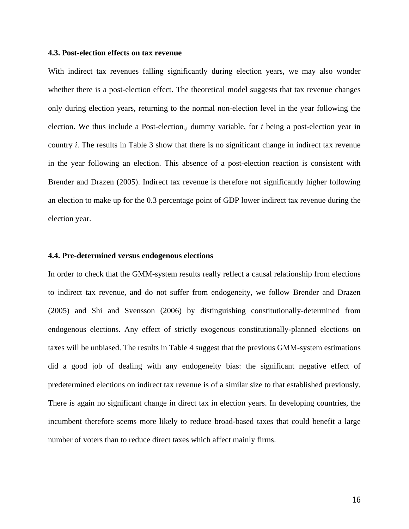#### **4.3. Post-election effects on tax revenue**

With indirect tax revenues falling significantly during election years, we may also wonder whether there is a post-election effect. The theoretical model suggests that tax revenue changes only during election years, returning to the normal non-election level in the year following the election. We thus include a Post-election<sub>i,t</sub> dummy variable, for  $t$  being a post-election year in country *i*. The results in Table 3 show that there is no significant change in indirect tax revenue in the year following an election. This absence of a post-election reaction is consistent with Brender and Drazen (2005). Indirect tax revenue is therefore not significantly higher following an election to make up for the 0.3 percentage point of GDP lower indirect tax revenue during the election year.

#### **4.4. Pre-determined versus endogenous elections**

In order to check that the GMM-system results really reflect a causal relationship from elections to indirect tax revenue, and do not suffer from endogeneity, we follow Brender and Drazen (2005) and Shi and Svensson (2006) by distinguishing constitutionally-determined from endogenous elections. Any effect of strictly exogenous constitutionally-planned elections on taxes will be unbiased. The results in Table 4 suggest that the previous GMM-system estimations did a good job of dealing with any endogeneity bias: the significant negative effect of predetermined elections on indirect tax revenue is of a similar size to that established previously. There is again no significant change in direct tax in election years. In developing countries, the incumbent therefore seems more likely to reduce broad-based taxes that could benefit a large number of voters than to reduce direct taxes which affect mainly firms.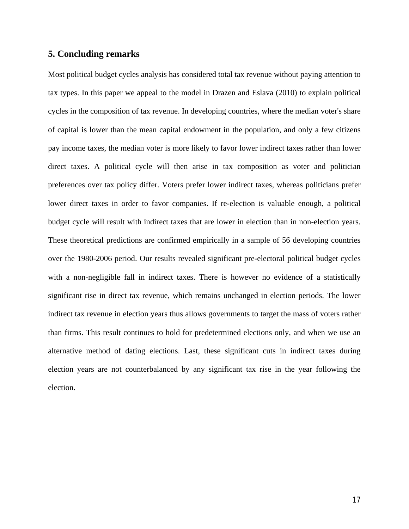#### **5. Concluding remarks**

Most political budget cycles analysis has considered total tax revenue without paying attention to tax types. In this paper we appeal to the model in Drazen and Eslava (2010) to explain political cycles in the composition of tax revenue. In developing countries, where the median voter's share of capital is lower than the mean capital endowment in the population, and only a few citizens pay income taxes, the median voter is more likely to favor lower indirect taxes rather than lower direct taxes. A political cycle will then arise in tax composition as voter and politician preferences over tax policy differ. Voters prefer lower indirect taxes, whereas politicians prefer lower direct taxes in order to favor companies. If re-election is valuable enough, a political budget cycle will result with indirect taxes that are lower in election than in non-election years. These theoretical predictions are confirmed empirically in a sample of 56 developing countries over the 1980-2006 period. Our results revealed significant pre-electoral political budget cycles with a non-negligible fall in indirect taxes. There is however no evidence of a statistically significant rise in direct tax revenue, which remains unchanged in election periods. The lower indirect tax revenue in election years thus allows governments to target the mass of voters rather than firms. This result continues to hold for predetermined elections only, and when we use an alternative method of dating elections. Last, these significant cuts in indirect taxes during election years are not counterbalanced by any significant tax rise in the year following the election.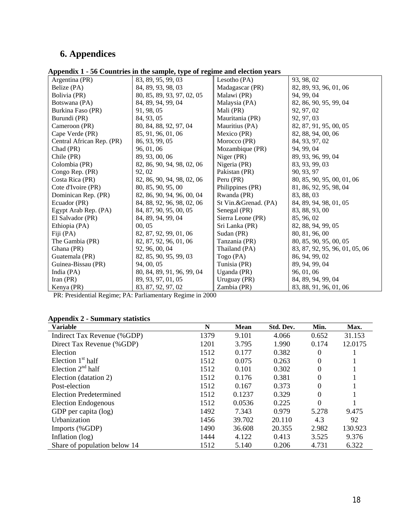## **6. Appendices**

|  |  |  | Appendix 1 - 56 Countries in the sample, type of regime and election years |
|--|--|--|----------------------------------------------------------------------------|
|  |  |  |                                                                            |

| Argentina (PR)            | 83, 89, 95, 99, 03         | Lesotho (PA)         | 93, 98, 02                     |
|---------------------------|----------------------------|----------------------|--------------------------------|
| Belize (PA)               | 84, 89, 93, 98, 03         | Madagascar (PR)      | 82, 89, 93, 96, 01, 06         |
| Bolivia (PR)              | 80, 85, 89, 93, 97, 02, 05 | Malawi (PR)          | 94, 99, 04                     |
| Botswana (PA)             | 84, 89, 94, 99, 04         | Malaysia (PA)        | 82, 86, 90, 95, 99, 04         |
| Burkina Faso (PR)         | 91, 98, 05                 | Mali (PR)            | 92, 97, 02                     |
| Burundi (PR)              | 84, 93, 05                 | Mauritania (PR)      | 92, 97, 03                     |
| Cameroon (PR)             | 80, 84, 88, 92, 97, 04     | Mauritius (PA)       | 82, 87, 91, 95, 00, 05         |
| Cape Verde (PR)           | 85, 91, 96, 01, 06         | Mexico (PR)          | 82, 88, 94, 00, 06             |
| Central African Rep. (PR) | 86, 93, 99, 05             | Morocco (PR)         | 84, 93, 97, 02                 |
| Chad (PR)                 | 96, 01, 06                 | Mozambique (PR)      | 94, 99, 04                     |
| Chile (PR)                | 89, 93, 00, 06             | Niger (PR)           | 89, 93, 96, 99, 04             |
| Colombia (PR)             | 82, 86, 90, 94, 98, 02, 06 | Nigeria (PR)         | 83, 93, 99, 03                 |
| Congo Rep. (PR)           | 92, 02                     | Pakistan (PR)        | 90, 93, 97                     |
| Costa Rica (PR)           | 82, 86, 90, 94, 98, 02, 06 | Peru (PR)            | 80, 85, 90, 95, 00, 01, 06     |
| Cote d'Ivoire (PR)        | 80, 85, 90, 95, 00         | Philippines (PR)     | 81, 86, 92, 95, 98, 04         |
| Dominican Rep. (PR)       | 82, 86, 90, 94, 96, 00, 04 | Rwanda (PR)          | 83, 88, 03                     |
| Ecuador (PR)              | 84, 88, 92, 96, 98, 02, 06 | St Vin.&Grenad. (PA) | 84, 89, 94, 98, 01, 05         |
| Egypt Arab Rep. (PA)      | 84, 87, 90, 95, 00, 05     | Senegal (PR)         | 83, 88, 93, 00                 |
| El Salvador (PR)          | 84, 89, 94, 99, 04         | Sierra Leone (PR)    | 85, 96, 02                     |
| Ethiopia (PA)             | 00.05                      | Sri Lanka (PR)       | 82, 88, 94, 99, 05             |
| Fiji (PA)                 | 82, 87, 92, 99, 01, 06     | Sudan (PR)           | 80, 81, 96, 00                 |
| The Gambia (PR)           | 82, 87, 92, 96, 01, 06     | Tanzania (PR)        | 80, 85, 90, 95, 00, 05         |
| Ghana (PR)                | 92, 96, 00, 04             | Thailand (PA)        | 83, 87, 92, 95, 96, 01, 05, 06 |
| Guatemala (PR)            | 82, 85, 90, 95, 99, 03     | Togo (PA)            | 86, 94, 99, 02                 |
| Guinea-Bissau (PR)        | 94, 00, 05                 | Tunisia (PR)         | 89, 94, 99, 04                 |
| India (PA)                | 80, 84, 89, 91, 96, 99, 04 | Uganda (PR)          | 96, 01, 06                     |
| Iran (PR)                 | 89, 93, 97, 01, 05         | Uruguay (PR)         | 84, 89, 94, 99, 04             |
| Kenya (PR)                | 83, 87, 92, 97, 02         | Zambia (PR)          | 83, 88, 91, 96, 01, 06         |

PR: Presidential Regime; PA: Parliamentary Regime in 2000

| <b>Appendix 2 - Summary statistics</b> |  |
|----------------------------------------|--|
|----------------------------------------|--|

| <b>Variable</b>              | N    | <b>Mean</b> | Std. Dev. | Min.     | Max.    |
|------------------------------|------|-------------|-----------|----------|---------|
| Indirect Tax Revenue (%GDP)  | 1379 | 9.101       | 4.066     | 0.652    | 31.153  |
| Direct Tax Revenue (%GDP)    | 1201 | 3.795       | 1.990     | 0.174    | 12.0175 |
| Election                     | 1512 | 0.177       | 0.382     | $\theta$ |         |
| Election $1st$ half          | 1512 | 0.075       | 0.263     | $\Omega$ |         |
| Election $2nd$ half          | 1512 | 0.101       | 0.302     | $\theta$ |         |
| Election (datation 2)        | 1512 | 0.176       | 0.381     | $\Omega$ |         |
| Post-election                | 1512 | 0.167       | 0.373     | $\Omega$ |         |
| Election Predetermined       | 1512 | 0.1237      | 0.329     | $\Omega$ |         |
| Election Endogenous          | 1512 | 0.0536      | 0.225     | $\theta$ |         |
| GDP per capita (log)         | 1492 | 7.343       | 0.979     | 5.278    | 9.475   |
| Urbanization                 | 1456 | 39.702      | 20.110    | 4.3      | 92      |
| Imports (%GDP)               | 1490 | 36.608      | 20.355    | 2.982    | 130.923 |
| Inflation (log)              | 1444 | 4.122       | 0.413     | 3.525    | 9.376   |
| Share of population below 14 | 1512 | 5.140       | 0.206     | 4.731    | 6.322   |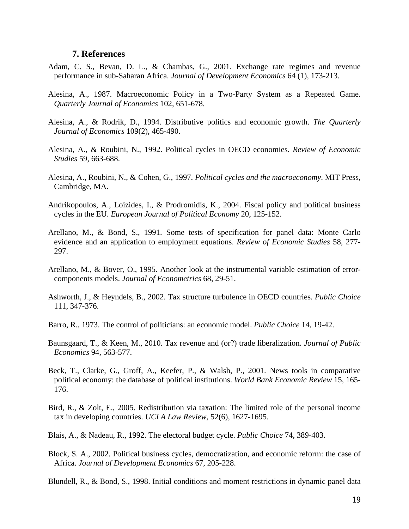#### **7. References**

- Adam, C. S., Bevan, D. L., & Chambas, G., 2001. Exchange rate regimes and revenue performance in sub-Saharan Africa. *Journal of Development Economics* 64 (1), 173-213.
- Alesina, A., 1987. Macroeconomic Policy in a Two-Party System as a Repeated Game. *Quarterly Journal of Economics* 102, 651-678.
- Alesina, A., & Rodrik, D., 1994. Distributive politics and economic growth. *The Quarterly Journal of Economics* 109(2), 465-490.
- Alesina, A., & Roubini, N., 1992. Political cycles in OECD economies. *Review of Economic Studies* 59, 663-688.
- Alesina, A., Roubini, N., & Cohen, G., 1997. *Political cycles and the macroeconomy*. MIT Press, Cambridge, MA.
- Andrikopoulos, A., Loizides, I., & Prodromidis, K., 2004. Fiscal policy and political business cycles in the EU. *European Journal of Political Economy* 20, 125-152.
- Arellano, M., & Bond, S., 1991. Some tests of specification for panel data: Monte Carlo evidence and an application to employment equations. *Review of Economic Studies* 58, 277- 297.
- Arellano, M., & Bover, O., 1995. Another look at the instrumental variable estimation of errorcomponents models. *Journal of Econometrics* 68, 29-51.
- Ashworth, J., & Heyndels, B., 2002. Tax structure turbulence in OECD countries. *Public Choice* 111, 347-376.
- Barro, R., 1973. The control of politicians: an economic model. *Public Choice* 14, 19-42.
- Baunsgaard, T., & Keen, M., 2010. Tax revenue and (or?) trade liberalization. *Journal of Public Economics* 94, 563-577.
- Beck, T., Clarke, G., Groff, A., Keefer, P., & Walsh, P., 2001. News tools in comparative political economy: the database of political institutions. *World Bank Economic Review* 15, 165- 176.
- Bird, R., & Zolt, E., 2005. Redistribution via taxation: The limited role of the personal income tax in developing countries. *UCLA Law Review*, 52(6), 1627-1695.
- Blais, A., & Nadeau, R., 1992. The electoral budget cycle. *Public Choice* 74, 389-403.
- Block, S. A., 2002. Political business cycles, democratization, and economic reform: the case of Africa. *Journal of Development Economics* 67, 205-228.

Blundell, R., & Bond, S., 1998. Initial conditions and moment restrictions in dynamic panel data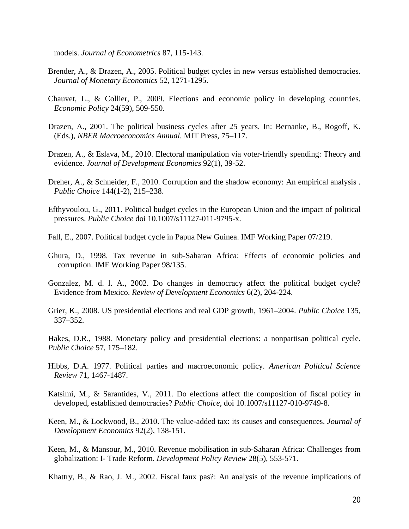models. *Journal of Econometrics* 87, 115-143.

- Brender, A., & Drazen, A., 2005. Political budget cycles in new versus established democracies. *Journal of Monetary Economics* 52, 1271-1295.
- Chauvet, L., & Collier, P., 2009. Elections and economic policy in developing countries. *Economic Policy* 24(59), 509-550.
- Drazen, A., 2001. The political business cycles after 25 years. In: Bernanke, B., Rogoff, K. (Eds.), *NBER Macroeconomics Annual*. MIT Press, 75–117.
- Drazen, A., & Eslava, M., 2010. Electoral manipulation via voter-friendly spending: Theory and evidence. *Journal of Development Economics* 92(1), 39-52.
- Dreher, A., & Schneider, F., 2010. Corruption and the shadow economy: An empirical analysis . *Public Choice* 144(1-2), 215–238.
- Efthyvoulou, G., 2011. Political budget cycles in the European Union and the impact of political pressures. *Public Choice* doi 10.1007/s11127-011-9795-x.
- Fall, E., 2007. Political budget cycle in Papua New Guinea. IMF Working Paper 07/219.
- Ghura, D., 1998. Tax revenue in sub-Saharan Africa: Effects of economic policies and corruption. IMF Working Paper 98/135.
- Gonzalez, M. d. l. A., 2002. Do changes in democracy affect the political budget cycle? Evidence from Mexico. *Review of Development Economics* 6(2), 204-224.
- Grier, K., 2008. US presidential elections and real GDP growth, 1961–2004. *Public Choice* 135, 337–352.

Hakes, D.R., 1988. Monetary policy and presidential elections: a nonpartisan political cycle. *Public Choice* 57, 175–182.

- Hibbs, D.A. 1977. Political parties and macroeconomic policy. *American Political Science Review* 71, 1467-1487.
- Katsimi, M., & Sarantides, V., 2011. Do elections affect the composition of fiscal policy in developed, established democracies? *Public Choice*, doi 10.1007/s11127-010-9749-8.
- Keen, M., & Lockwood, B., 2010. The value-added tax: its causes and consequences. *Journal of Development Economics* 92(2), 138-151.
- Keen, M., & Mansour, M., 2010. Revenue mobilisation in sub-Saharan Africa: Challenges from globalization: I- Trade Reform. *Development Policy Review* 28(5), 553-571.

Khattry, B., & Rao, J. M., 2002. Fiscal faux pas?: An analysis of the revenue implications of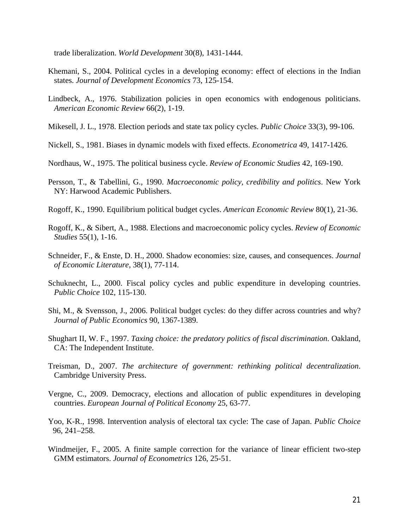trade liberalization. *World Development* 30(8), 1431-1444.

- Khemani, S., 2004. Political cycles in a developing economy: effect of elections in the Indian states. *Journal of Development Economics* 73, 125-154.
- Lindbeck, A., 1976. Stabilization policies in open economics with endogenous politicians. *American Economic Review* 66(2), 1-19.
- Mikesell, J. L., 1978. Election periods and state tax policy cycles. *Public Choice* 33(3), 99-106.
- Nickell, S., 1981. Biases in dynamic models with fixed effects. *Econometrica* 49, 1417-1426.
- Nordhaus, W., 1975. The political business cycle. *Review of Economic Studies* 42, 169-190.
- Persson, T., & Tabellini, G., 1990. *Macroeconomic policy, credibility and politics*. New York NY: Harwood Academic Publishers.
- Rogoff, K., 1990. Equilibrium political budget cycles. *American Economic Review* 80(1), 21-36.
- Rogoff, K., & Sibert, A., 1988. Elections and macroeconomic policy cycles. *Review of Economic Studies* 55(1), 1-16.
- Schneider, F., & Enste, D. H., 2000. Shadow economies: size, causes, and consequences. *Journal of Economic Literature*, 38(1), 77-114.
- Schuknecht, L., 2000. Fiscal policy cycles and public expenditure in developing countries. *Public Choice* 102, 115-130.
- Shi, M., & Svensson, J., 2006. Political budget cycles: do they differ across countries and why? *Journal of Public Economics* 90, 1367-1389.
- Shughart II, W. F., 1997. *Taxing choice: the predatory politics of fiscal discrimination*. Oakland, CA: The Independent Institute.
- Treisman, D., 2007. *The architecture of government: rethinking political decentralization*. Cambridge University Press.
- Vergne, C., 2009. Democracy, elections and allocation of public expenditures in developing countries. *European Journal of Political Economy* 25, 63-77.
- Yoo, K-R., 1998. Intervention analysis of electoral tax cycle: The case of Japan. *Public Choice*  96, 241–258.
- Windmeijer, F., 2005. A finite sample correction for the variance of linear efficient two-step GMM estimators. *Journal of Econometrics* 126, 25-51.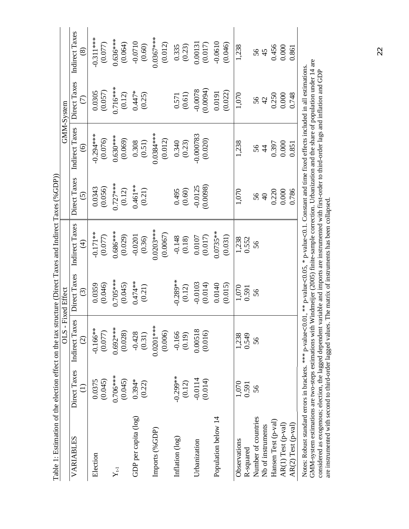| i<br>I<br>I<br>֕<br>١ |  |
|-----------------------|--|
| I                     |  |
|                       |  |
|                       |  |
| ׇ֠                    |  |
|                       |  |
|                       |  |
| ļ                     |  |
|                       |  |
| i                     |  |
|                       |  |
|                       |  |
|                       |  |
| י<br>י                |  |
|                       |  |
|                       |  |
|                       |  |
|                       |  |
|                       |  |
|                       |  |
| ļ                     |  |
|                       |  |
| J<br>F<br>I           |  |
|                       |  |

| Table 1: Estimation of the election effect on the tax structure (Direct Taxes and Indirect Taxes (%GDP))                                                 |                                 |                                      |                                        |                                   |                                   |                                     |                        |                                 |
|----------------------------------------------------------------------------------------------------------------------------------------------------------|---------------------------------|--------------------------------------|----------------------------------------|-----------------------------------|-----------------------------------|-------------------------------------|------------------------|---------------------------------|
|                                                                                                                                                          |                                 | $OLS -$                              | <b>Fixed Effect</b>                    |                                   |                                   |                                     | GMM-System             |                                 |
| VARIABLES                                                                                                                                                | Direct Taxes<br>$\widehat{\Xi}$ | Indirect Taxes<br>$\widehat{\Omega}$ | Direct Taxes<br>$\widehat{\mathbb{C}}$ | Indirect Taxes<br>$\widehat{\pm}$ | Direct Taxes<br>$\widehat{\odot}$ | Indirect Taxes<br>$\widehat{\circ}$ | Direct Taxes<br>E      | Indirect Taxes<br>$\circledast$ |
| Election                                                                                                                                                 | (0.045)<br>0.0375               | $-0.166**$<br>(0.077)                | (0.046)<br>0.0359                      | $-0.171**$<br>(0.077)             | (0.056)<br>0.0343                 | $-0.294***$<br>(0.076)              | (0.057)<br>0.0305      | $-0.311***$<br>(0.077)          |
| $Y_{t1}$                                                                                                                                                 | $0.706***$<br>(0.045)           | $0.692***$<br>(0.028)                | $0.705***$<br>(0.045)                  | $0.686***$<br>(0.029)             | $0.727***$<br>(0.12)              | $0.630***$<br>(0.069)               | $0.716***$<br>(0.12)   | $0.636***$<br>(0.064)           |
| GDP per capita (log)                                                                                                                                     | $0.394*$<br>(0.22)              | $-0.428$<br>(0.31)                   | $0.474**$<br>(0.21)                    | $-0.0201$<br>(0.36)               | $0.461**$<br>(0.21)               | 0.308<br>(0.51)                     | $0.447*$<br>(0.25)     | $-0.0710$<br>(0.60)             |
| Imports (%GDP)                                                                                                                                           |                                 | $0.0201***$<br>(0.006)               |                                        | $0.0203***$<br>(0.0067)           |                                   | $0.0384***$<br>(0.012)              |                        | $0.0367***$<br>(0.012)          |
| Inflation (log)                                                                                                                                          | $-0.299***$<br>(0.12)           | $-0.166$<br>(0.19)                   | $-0.289**$<br>(0.12)                   | $-0.148$<br>(0.18)                | $(0.495)$<br>(0.60)               | 0.340<br>(0.23)                     | $\frac{0.571}{(0.61)}$ | $\frac{0.335}{(0.23)}$          |
| Urbanization                                                                                                                                             | $-0.0114$<br>(0.014)            | 0.00518<br>(0.016)                   | $-0.0103$<br>(0.014)                   | (0.0107)                          | $-0.0125$<br>(0.0098)             | $-0.000783$<br>(0.020)              | $-0.0078$<br>(0.0094)  | (0.017)<br>0.00131              |
| Population below 14                                                                                                                                      |                                 |                                      | 0.0140<br>(0.015)                      | $0.0735***$<br>(0.031)            |                                   |                                     | (0.022)<br>0.0191      | $-0.0610$<br>(0.046)            |
| Observations<br>R-squared                                                                                                                                | 1,070<br>0.591                  | 1,238<br>0.549                       | 1,070<br>0.591                         | 1,238<br>0.552                    | 1,070                             | 1,238                               | 1,070                  | 1,238                           |
| Number of countries<br>Nb of instruments                                                                                                                 | 56                              | 56                                   | 56                                     | 56                                | 56<br>$\overline{4}$              | 56<br>$\overline{4}$                | 56<br>42               | 56<br>45                        |
| Hansen Test (p-val)                                                                                                                                      |                                 |                                      |                                        |                                   | 0.220                             | 0.397                               | 0.250                  | 0.456                           |
| AR(1) Test (p-val)<br>AR(2) Test (p-val)                                                                                                                 |                                 |                                      |                                        |                                   | 0.786<br>0.000                    | 0.000<br>0.851                      | 0.000<br>0.748         | 0.000<br>0.861                  |
| Notes: Robust standard errors in brackets. *** p-value<0.01, ** p-value<0.05, * p-value<0.1. Constant and time fixed effects included in all estimations |                                 |                                      |                                        |                                   |                                   |                                     |                        |                                 |

A considered as exogenous; election, the lagged values. The matrix of instruments has been collapsed. Third-order lags and inflation and GDP are instrumented with windows are instrumented with first-order to third-order l GMM-system estimations are two-steps estimations with Windmeijer (2005) finite-sample correction. Urbanization and the share of population under 14 are Notes: Robust standard errors in brackets. \*\*\* p-value $0.01$ , \*\* p-value $0.05$ , \* p-value $0.1$ . Constant and time fixed effects included in all estimations. considered as exogenous; election, the lagged dependent variable and imports are instrumented with first-order to third-order lags and inflation and GDP are instrumented with second to third-order lagged values. The matrix of instruments has been collapsed.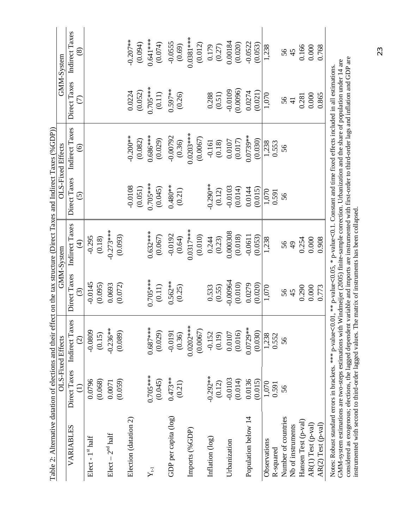| Table 2: Alternative datation of elections and their effect on the tax structure (Direct Taxes and Indirect Taxes (%GDP))                                                                                                                                                                                                                                                                                                                                                                                                                                                                    |                 |                   |                        |                |                 |                   |                        |                |
|----------------------------------------------------------------------------------------------------------------------------------------------------------------------------------------------------------------------------------------------------------------------------------------------------------------------------------------------------------------------------------------------------------------------------------------------------------------------------------------------------------------------------------------------------------------------------------------------|-----------------|-------------------|------------------------|----------------|-----------------|-------------------|------------------------|----------------|
|                                                                                                                                                                                                                                                                                                                                                                                                                                                                                                                                                                                              |                 | OLS-Fixed Effects |                        | GMM-System     |                 | OLS-Fixed Effects |                        | GMM-System     |
| VARIABLES                                                                                                                                                                                                                                                                                                                                                                                                                                                                                                                                                                                    | Direct Taxes    | Indirect Taxes    | Direct Taxes           | Indirect Taxes | Direct Taxes    | Indirect Taxes    | Direct Taxes           | Indirect Taxes |
|                                                                                                                                                                                                                                                                                                                                                                                                                                                                                                                                                                                              | $\widehat{\Xi}$ | $\widehat{c}$     | $\widehat{c}$          | $\bigoplus$    | $\widetilde{S}$ | $\widehat{\odot}$ | $\widehat{C}$          | $\circledS$    |
| Elect - 1st half                                                                                                                                                                                                                                                                                                                                                                                                                                                                                                                                                                             | 0.0796          | $-0.0809$         | $-0.0145$              | $-0.295$       |                 |                   |                        |                |
|                                                                                                                                                                                                                                                                                                                                                                                                                                                                                                                                                                                              | (0.068)         | (0.15)            | (0.095)                | (0.18)         |                 |                   |                        |                |
| $Elect - 2nd half$                                                                                                                                                                                                                                                                                                                                                                                                                                                                                                                                                                           | 0.0071          | $-0.236**$        | 0.0693                 | $-0.273***$    |                 |                   |                        |                |
|                                                                                                                                                                                                                                                                                                                                                                                                                                                                                                                                                                                              | (0.059)         | (0.089)           | (0.072)                | (0.093)        |                 |                   |                        |                |
| Election (datation 2)                                                                                                                                                                                                                                                                                                                                                                                                                                                                                                                                                                        |                 |                   |                        |                | $-0.0108$       | $-0.200**$        | 0.0224                 | $-0.207***$    |
|                                                                                                                                                                                                                                                                                                                                                                                                                                                                                                                                                                                              |                 |                   |                        |                | (0.051)         | (0.082)           | (0.052)                | (10.094)       |
| $Y_{t1}$                                                                                                                                                                                                                                                                                                                                                                                                                                                                                                                                                                                     | $0.705***$      | $0.687***$        | $0.705***$             | $0.632***$     | $0.705***$      | $0.686***$        | $0.705***$             | $0.641***$     |
|                                                                                                                                                                                                                                                                                                                                                                                                                                                                                                                                                                                              | (0.045)         | (0.029)           | $(0.11)$               | (0.067)        | (0.045)         | (0.029)           | $(0.11)$               | (0.074)        |
| GDP per capita (log)                                                                                                                                                                                                                                                                                                                                                                                                                                                                                                                                                                         | $0.473**$       | $-0.0191$         | $0.562**$              | $-0.0192$      | $0.480**$       | $-0.00792$        | $0.597**$              | $-0.0555$      |
|                                                                                                                                                                                                                                                                                                                                                                                                                                                                                                                                                                                              | (0.21)          | (0.36)            | (0.25)                 | (0.64)         | (0.21)          | (0.36)            | (0.26)                 | (0.69)         |
| Imports (%GDP)                                                                                                                                                                                                                                                                                                                                                                                                                                                                                                                                                                               |                 | $0.0202***$       |                        | $0.0317***$    |                 | $0.0203***$       |                        | $0.0381***$    |
|                                                                                                                                                                                                                                                                                                                                                                                                                                                                                                                                                                                              |                 | (0.0067)          |                        | (0.010)        |                 | (0.0067)          |                        | (0.012)        |
| Inflation (log)                                                                                                                                                                                                                                                                                                                                                                                                                                                                                                                                                                              | $-0.292**$      | $-0.152$          | $\frac{0.533}{(0.55)}$ | 0.244          | $-0.290**$      | $-0.161$          | $\frac{0.288}{(0.51)}$ | 0.179          |
|                                                                                                                                                                                                                                                                                                                                                                                                                                                                                                                                                                                              | (0.12)          | (0.19)            |                        | (0.23)         | (0.12)          | (0.18)            |                        | (0.27)         |
| Urbanization                                                                                                                                                                                                                                                                                                                                                                                                                                                                                                                                                                                 | $-0.0103$       | 0.0107            | $-0.00964$             | 0.000308       | $-0.0103$       | 0.0107            | $-0.0109$              | 0.00184        |
|                                                                                                                                                                                                                                                                                                                                                                                                                                                                                                                                                                                              | (0.014)         | (0.016)           | (0.010)                | (0.018)        | (0.014)         | (0.017)           | (0.0096)               | (0.020)        |
| Population below 14                                                                                                                                                                                                                                                                                                                                                                                                                                                                                                                                                                          | 0.0136          | $0.0729***$       | 0.0279                 | $-0.0611$      | 0.0144          | 0.0739**          | 0.0274                 | $-0.0522$      |
|                                                                                                                                                                                                                                                                                                                                                                                                                                                                                                                                                                                              | (0.015)         | (0.030)           | (0.020)                | (0.053)        | (0.015)         | (0.030)           | (0.021)                | (0.053)        |
| Observations                                                                                                                                                                                                                                                                                                                                                                                                                                                                                                                                                                                 | 1,070           | 1,238             | 1,070                  | 1,238          | 1,070           | 1,238             | 1,070                  | 1,238          |
| R-squared                                                                                                                                                                                                                                                                                                                                                                                                                                                                                                                                                                                    | 0.591           | 0.552             |                        |                | 0.591           | 0.553             |                        |                |
| Number of countries                                                                                                                                                                                                                                                                                                                                                                                                                                                                                                                                                                          | 56              | 56                | 56                     | 56             | 56              | 56                | 56                     | 56             |
| Nb of instruments                                                                                                                                                                                                                                                                                                                                                                                                                                                                                                                                                                            |                 |                   |                        | $\overline{6}$ |                 |                   |                        |                |
| Hansen Test (p-val)                                                                                                                                                                                                                                                                                                                                                                                                                                                                                                                                                                          |                 |                   | 0.290                  | 0.254          |                 |                   | 0.281                  | 0.166          |
| AR(1) Test (p-val)                                                                                                                                                                                                                                                                                                                                                                                                                                                                                                                                                                           |                 |                   | $0.000$                | 0.000          |                 |                   | 0.000                  | 0.000          |
| AR(2) Test (p-val)                                                                                                                                                                                                                                                                                                                                                                                                                                                                                                                                                                           |                 |                   | 0.773                  | 0.908          |                 |                   | 0.865                  | 0.768          |
| considered as exogenous; elections, the lagged dependent variable and imports are instrumented with first-order to third-order lags and inflation and GDP are<br>GMM-system estimations are two-steps estimations with Windmeijer (2005) finite-sample correction. Urbanization and the share of population under 14 are<br>Notes: Robust standard errors in brackets. *** p-value<0.01, ** p-value<0.05, * p-value<0.1. Constant and time fixed effects included in all estimations<br>instrumented with second to third-order lagged values. The matrix of instruments has been collapsed. |                 |                   |                        |                |                 |                   |                        |                |

23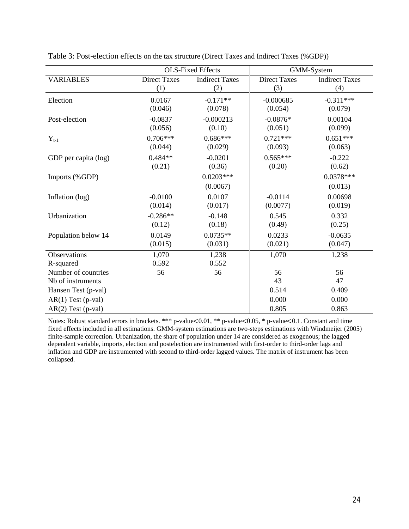|                      |                     | <b>OLS-Fixed Effects</b> |                     | GMM-System            |
|----------------------|---------------------|--------------------------|---------------------|-----------------------|
| <b>VARIABLES</b>     | <b>Direct Taxes</b> | <b>Indirect Taxes</b>    | <b>Direct Taxes</b> | <b>Indirect Taxes</b> |
|                      | (1)                 | (2)                      | (3)                 | (4)                   |
| Election             | 0.0167              | $-0.171**$               | $-0.000685$         | $-0.311***$           |
|                      | (0.046)             | (0.078)                  | (0.054)             | (0.079)               |
| Post-election        | $-0.0837$           | $-0.000213$              | $-0.0876*$          | 0.00104               |
|                      | (0.056)             | (0.10)                   | (0.051)             | (0.099)               |
| $Y_{t-1}$            | $0.706***$          | $0.686***$               | $0.721***$          | $0.651***$            |
|                      | (0.044)             | (0.029)                  | (0.093)             | (0.063)               |
| GDP per capita (log) | $0.484**$           | $-0.0201$                | $0.565***$          | $-0.222$              |
|                      | (0.21)              | (0.36)                   | (0.20)              | (0.62)                |
| Imports (%GDP)       |                     | $0.0203***$              |                     | $0.0378***$           |
|                      |                     | (0.0067)                 |                     | (0.013)               |
| Inflation (log)      | $-0.0100$           | 0.0107                   | $-0.0114$           | 0.00698               |
|                      | (0.014)             | (0.017)                  | (0.0077)            | (0.019)               |
| Urbanization         | $-0.286**$          | $-0.148$                 | 0.545               | 0.332                 |
|                      | (0.12)              | (0.18)                   | (0.49)              | (0.25)                |
| Population below 14  | 0.0149              | $0.0735**$               | 0.0233              | $-0.0635$             |
|                      | (0.015)             | (0.031)                  | (0.021)             | (0.047)               |
| Observations         | 1,070               | 1,238                    | 1,070               | 1,238                 |
| R-squared            | 0.592               | 0.552                    |                     |                       |
| Number of countries  | 56                  | 56                       | 56                  | 56                    |
| Nb of instruments    |                     |                          | 43                  | 47                    |
| Hansen Test (p-val)  |                     |                          | 0.514               | 0.409                 |
| $AR(1)$ Test (p-val) |                     |                          | 0.000               | 0.000                 |
| $AR(2)$ Test (p-val) |                     |                          | 0.805               | 0.863                 |

Table 3: Post-election effects on the tax structure (Direct Taxes and Indirect Taxes (%GDP))

Notes: Robust standard errors in brackets. \*\*\* p-value<0.01, \*\* p-value<0.05, \* p-value<0.1. Constant and time fixed effects included in all estimations. GMM-system estimations are two-steps estimations with Windmeijer (2005) finite-sample correction. Urbanization, the share of population under 14 are considered as exogenous; the lagged dependent variable, imports, election and postelection are instrumented with first-order to third-order lags and inflation and GDP are instrumented with second to third-order lagged values. The matrix of instrument has been collapsed.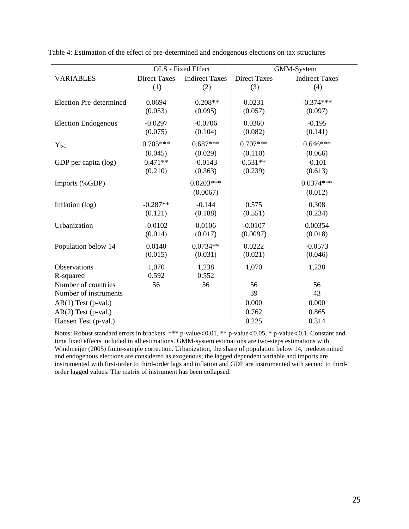|                                |                      | OLS - Fixed Effect    |                     | GMM-System            |
|--------------------------------|----------------------|-----------------------|---------------------|-----------------------|
| <b>VARIABLES</b>               | <b>Direct Taxes</b>  | <b>Indirect Taxes</b> | <b>Direct Taxes</b> | <b>Indirect Taxes</b> |
|                                | (1)                  | (2)                   | (3)                 | (4)                   |
| <b>Election Pre-determined</b> | 0.0694               | $-0.208**$            | 0.0231              | $-0.374***$           |
|                                | (0.053)              | (0.095)               | (0.057)             | (0.097)               |
| <b>Election Endogenous</b>     | $-0.0297$<br>(0.075) | $-0.0706$<br>(0.104)  | 0.0360<br>(0.082)   | $-0.195$<br>(0.141)   |
|                                | $0.705***$           | $0.687***$            | $0.707***$          | $0.646***$            |
| $Y_{t-1}$                      | (0.045)              | (0.029)               | (0.110)             | (0.066)               |
| GDP per capita (log)           | $0.471**$            | $-0.0143$             | $0.531**$           | $-0.101$              |
|                                | (0.210)              | (0.363)               | (0.239)             | (0.613)               |
| Imports (%GDP)                 |                      | $0.0203***$           |                     | $0.0374***$           |
|                                |                      | (0.0067)              |                     | (0.012)               |
| Inflation (log)                | $-0.287**$           | $-0.144$              | 0.575               | 0.308                 |
|                                | (0.121)              | (0.188)               | (0.551)             | (0.234)               |
| Urbanization                   | $-0.0102$            | 0.0106                | $-0.0107$           | 0.00354               |
|                                | (0.014)              | (0.017)               | (0.0097)            | (0.018)               |
| Population below 14            | 0.0140               | $0.0734**$            | 0.0222              | $-0.0573$             |
|                                | (0.015)              | (0.031)               | (0.021)             | (0.046)               |
| Observations                   | 1,070                | 1,238                 | 1,070               | 1,238                 |
| R-squared                      | 0.592                | 0.552                 |                     |                       |
| Number of countries            | 56                   | 56                    | 56                  | 56                    |
| Number of instruments          |                      |                       | 39                  | 43                    |
| $AR(1)$ Test (p-val.)          |                      |                       | 0.000               | 0.000                 |
| $AR(2)$ Test (p-val.)          |                      |                       | 0.762               | 0.865                 |
| Hansen Test (p-val.)           |                      |                       | 0.225               | 0.314                 |

Table 4: Estimation of the effect of pre-determined and endogenous elections on tax structures

Notes: Robust standard errors in brackets. \*\*\* p-value<0.01, \*\* p-value<0.05, \* p-value<0.1. Constant and time fixed effects included in all estimations. GMM-system estimations are two-steps estimations with Windmeijer (2005) finite-sample correction. Urbanization, the share of population below 14, predetermined and endogenous elections are considered as exogenous; the lagged dependent variable and imports are instrumented with first-order to third-order lags and inflation and GDP are instrumented with second to thirdorder lagged values. The matrix of instrument has been collapsed.